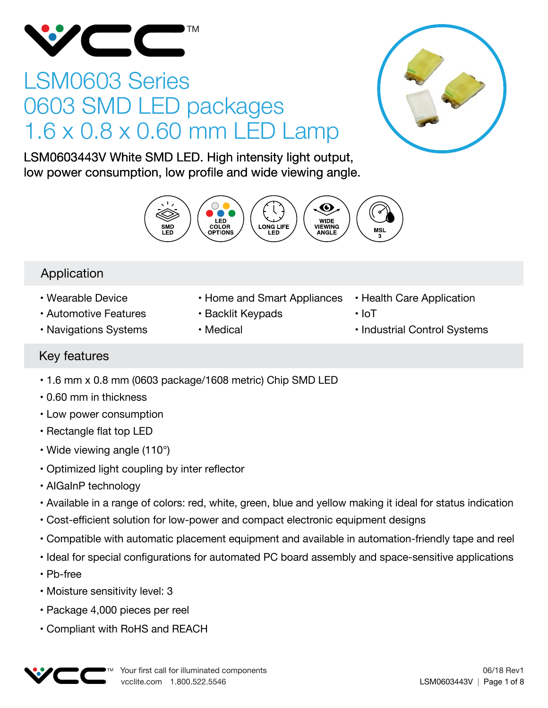

# LSM0603 Series 0603 SMD LED packages 1.6 x 0.8 x 0.60 mm LED Lamp



LSM0603443V White SMD LED. High intensity light output, low power consumption, low profile and wide viewing angle.



## Application

- Wearable Device
- Automotive Features
- Navigations Systems
- Home and Smart Appliances
- Backlit Keypads
- Medical
- Health Care Application
- IoT
- Industrial Control Systems

## Key features

- 1.6 mm x 0.8 mm (0603 package/1608 metric) Chip SMD LED
- 0.60 mm in thickness
- Low power consumption
- Rectangle flat top LED
- Wide viewing angle (110°)
- Optimized light coupling by inter reflector
- AIGaInP technology
- Available in a range of colors: red, white, green, blue and yellow making it ideal for status indication
- Cost-efficient solution for low-power and compact electronic equipment designs
- Compatible with automatic placement equipment and available in automation-friendly tape and reel
- Ideal for special configurations for automated PC board assembly and space-sensitive applications
- Pb-free
- Moisture sensitivity level: 3
- Package 4,000 pieces per reel
- Compliant with RoHS and REACH

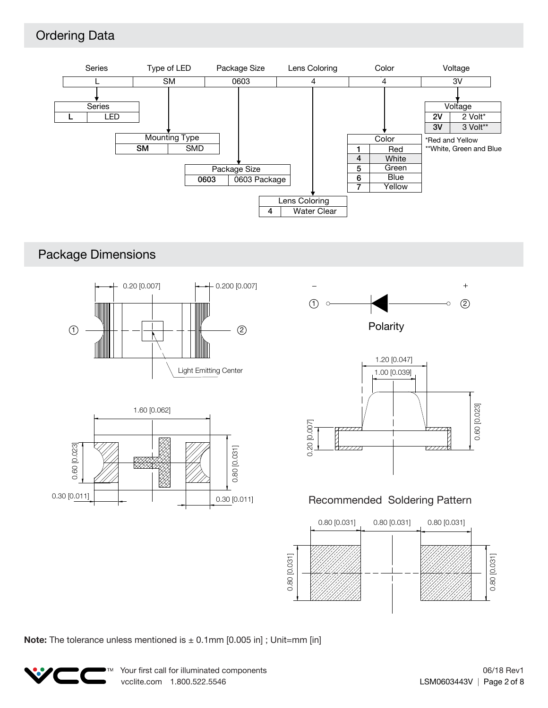## Ordering Data



## Package Dimensions



**Note:** The tolerance unless mentioned is  $\pm$  0.1mm [0.005 in]; Unit=mm [in]

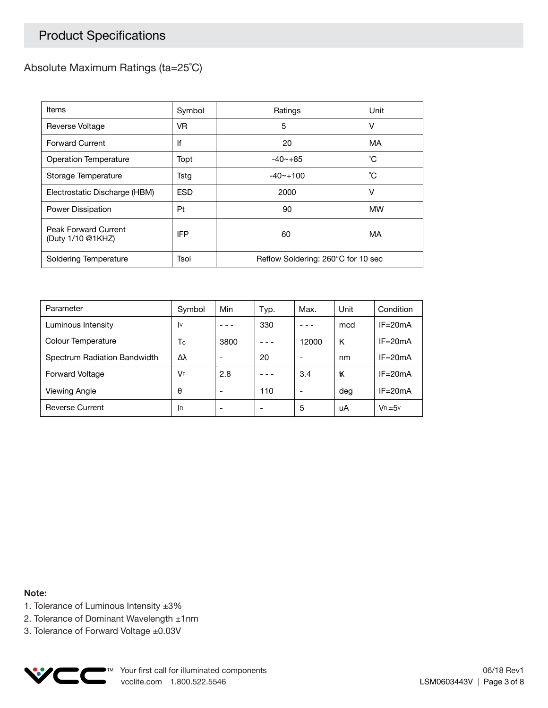## Product Specifications

### Absolute Maximum Ratings (ta=25˚C)

| Items                                     | Symbol     | Ratings                            | Unit      |  |
|-------------------------------------------|------------|------------------------------------|-----------|--|
| Reverse Voltage                           | VR.        | 5                                  | v         |  |
| <b>Forward Current</b>                    | lf         | 20                                 | MA        |  |
| Operation Temperature                     | Topt       | $-40 - +85$                        | °С        |  |
| Storage Temperature                       | Tstg       | $-40 - +100$                       | °С        |  |
| Electrostatic Discharge (HBM)             | <b>ESD</b> | 2000                               | v         |  |
| Power Dissipation                         | Pt         | 90                                 | <b>MW</b> |  |
| Peak Forward Current<br>(Duty 1/10 @1KHZ) | <b>IFP</b> | 60                                 | MA        |  |
| Soldering Temperature                     | Tsol       | Reflow Soldering: 260°C for 10 sec |           |  |

| Parameter                    | Symbol    | Min  | Typ. | Max.  | Unit | Condition   |
|------------------------------|-----------|------|------|-------|------|-------------|
| Luminous Intensity           | I٧        |      | 330  |       | mcd  | $IF = 20mA$ |
| Colour Temperature           | Тc        | 3800 |      | 12000 | K    | $IF = 20mA$ |
| Spectrum Radiation Bandwidth | Δλ        |      | 20   |       | nm   | $IF = 20mA$ |
| <b>Forward Voltage</b>       | VF        | 2.8  |      | 3.4   | ĸ    | $IF = 20mA$ |
| Viewing Angle                | θ         |      | 110  |       | deg  | $IF = 20mA$ |
| <b>Reverse Current</b>       | <b>IR</b> |      | -    | 5     | uA   | $V_B = 5v$  |

**Note:**

- 1. Tolerance of Luminous Intensity ±3%
- 2. Tolerance of Dominant Wavelength ±1nm
- 3. Tolerance of Forward Voltage ±0.03V

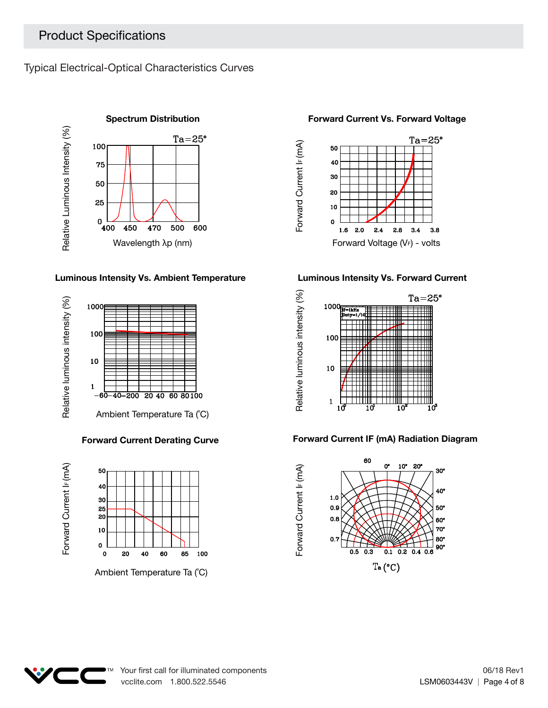Typical Electrical-Optical Characteristics Curves



#### **Luminous Intensity Vs. Ambient Temperature Luminous Intensity Vs. Forward Current**



#### **Forward Current Derating Curve**





#### **Forward Current Vs. Forward Voltage**



Forward Current I<sub>F</sub> (mA)

Forward Current I<sub>F</sub> (mA)



#### **Forward Current IF (mA) Radiation Diagram**



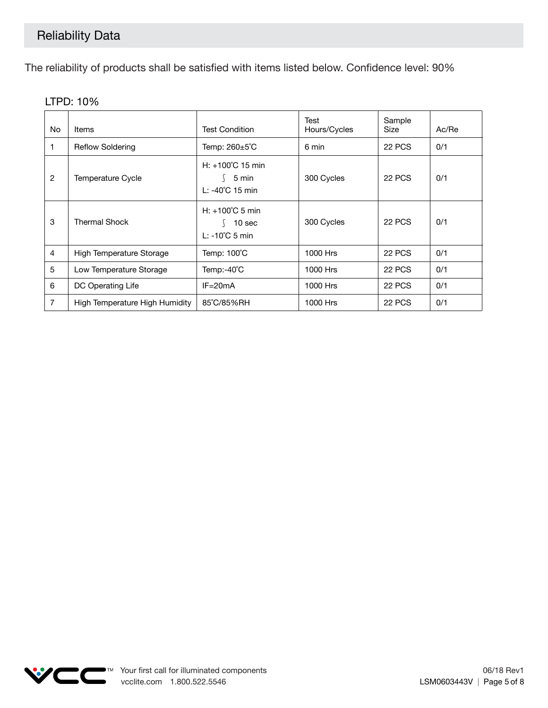The reliability of products shall be satisfied with items listed below. Confidence level: 90%

| No.            | <b>Items</b>                   | <b>Test Condition</b>                                                     | Test<br>Hours/Cycles | Sample<br>Size | Ac/Re |
|----------------|--------------------------------|---------------------------------------------------------------------------|----------------------|----------------|-------|
|                | <b>Reflow Soldering</b>        | Temp: 260±5°C                                                             | 6 min                | 22 PCS         | 0/1   |
| $\overline{2}$ | <b>Temperature Cycle</b>       | $H: +100^{\circ}C$ 15 min<br>5 min<br>L: -40°C 15 min                     | 300 Cycles           | 22 PCS         | 0/1   |
| 3              | <b>Thermal Shock</b>           | $H: +100^{\circ}$ C 5 min<br>10 <sub>sec</sub><br>$L: -10^{\circ}C$ 5 min | 300 Cycles           | 22 PCS         | 0/1   |
| 4              | High Temperature Storage       | Temp: 100°C                                                               | 1000 Hrs             | 22 PCS         | 0/1   |
| 5              | Low Temperature Storage        | Temp:-40°C                                                                | 1000 Hrs             | <b>22 PCS</b>  | 0/1   |
| 6              | DC Operating Life              | $IF = 20mA$                                                               | 1000 Hrs             | 22 PCS         | 0/1   |
| 7              | High Temperature High Humidity | 85°C/85%RH                                                                | 1000 Hrs             | 22 PCS         | 0/1   |

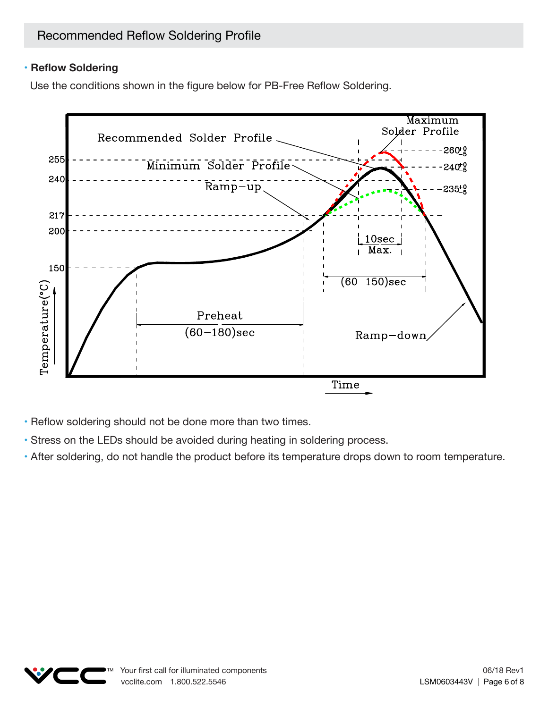### **• Reflow Soldering**

Use the conditions shown in the figure below for PB-Free Reflow Soldering.



• Reflow soldering should not be done more than two times.

- Stress on the LEDs should be avoided during heating in soldering process.
- After soldering, do not handle the product before its temperature drops down to room temperature.

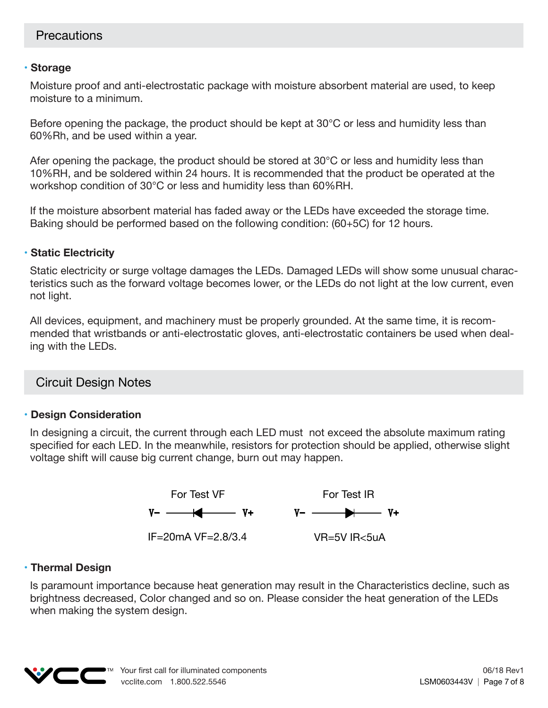#### **• Storage**

Moisture proof and anti-electrostatic package with moisture absorbent material are used, to keep moisture to a minimum.

Before opening the package, the product should be kept at 30°C or less and humidity less than 60%Rh, and be used within a year.

Afer opening the package, the product should be stored at 30°C or less and humidity less than 10%RH, and be soldered within 24 hours. It is recommended that the product be operated at the workshop condition of 30°C or less and humidity less than 60%RH.

If the moisture absorbent material has faded away or the LEDs have exceeded the storage time. Baking should be performed based on the following condition: (60+5C) for 12 hours.

### **• Static Electricity**

Static electricity or surge voltage damages the LEDs. Damaged LEDs will show some unusual characteristics such as the forward voltage becomes lower, or the LEDs do not light at the low current, even not light.

All devices, equipment, and machinery must be properly grounded. At the same time, it is recommended that wristbands or anti-electrostatic gloves, anti-electrostatic containers be used when dealing with the LEDs.

## Circuit Design Notes

#### **• Design Consideration**

In designing a circuit, the current through each LED must not exceed the absolute maximum rating specified for each LED. In the meanwhile, resistors for protection should be applied, otherwise slight voltage shift will cause big current change, burn out may happen.



#### **• Thermal Design**

Is paramount importance because heat generation may result in the Characteristics decline, such as brightness decreased, Color changed and so on. Please consider the heat generation of the LEDs when making the system design.